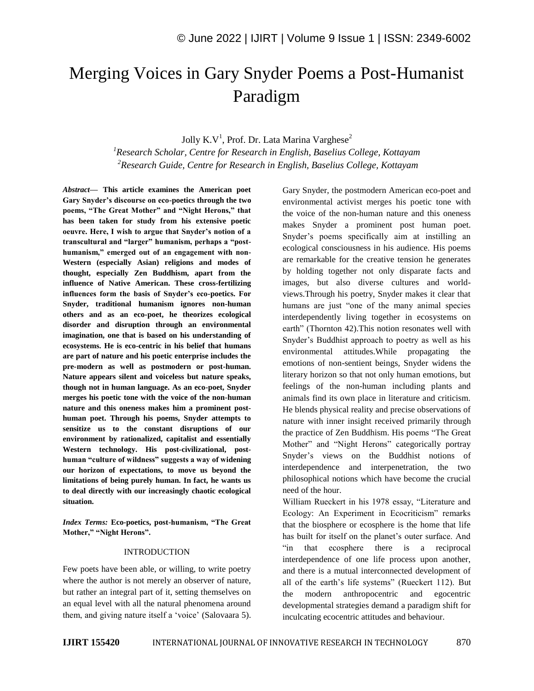## Merging Voices in Gary Snyder Poems a Post-Humanist Paradigm

Jolly K.V<sup>1</sup>, Prof. Dr. Lata Marina Varghese<sup>2</sup>

*<sup>1</sup>Research Scholar, Centre for Research in English, Baselius College, Kottayam <sup>2</sup>Research Guide, Centre for Research in English, Baselius College, Kottayam*

*Abstract—* **This article examines the American poet Gary Snyder's discourse on eco-poetics through the two poems, "The Great Mother" and "Night Herons," that has been taken for study from his extensive poetic oeuvre. Here, I wish to argue that Snyder's notion of a transcultural and "larger" humanism, perhaps a "posthumanism," emerged out of an engagement with non-Western (especially Asian) religions and modes of thought, especially Zen Buddhism, apart from the influence of Native American. These cross-fertilizing influences form the basis of Snyder's eco-poetics. For Snyder, traditional humanism ignores non-human others and as an eco-poet, he theorizes ecological disorder and disruption through an environmental imagination, one that is based on his understanding of ecosystems. He is eco-centric in his belief that humans are part of nature and his poetic enterprise includes the pre-modern as well as postmodern or post-human. Nature appears silent and voiceless but nature speaks, though not in human language. As an eco-poet, Snyder merges his poetic tone with the voice of the non-human nature and this oneness makes him a prominent posthuman poet. Through his poems, Snyder attempts to sensitize us to the constant disruptions of our environment by rationalized, capitalist and essentially Western technology. His post-civilizational, posthuman "culture of wildness" suggests a way of widening our horizon of expectations, to move us beyond the limitations of being purely human. In fact, he wants us to deal directly with our increasingly chaotic ecological situation.**

*Index Terms:* **Eco-poetics, post-humanism, "The Great Mother," "Night Herons".**

## INTRODUCTION

Few poets have been able, or willing, to write poetry where the author is not merely an observer of nature, but rather an integral part of it, setting themselves on an equal level with all the natural phenomena around them, and giving nature itself a 'voice' (Salovaara 5). Gary Snyder, the postmodern American eco-poet and environmental activist merges his poetic tone with the voice of the non-human nature and this oneness makes Snyder a prominent post human poet. Snyder"s poems specifically aim at instilling an ecological consciousness in his audience. His poems are remarkable for the creative tension he generates by holding together not only disparate facts and images, but also diverse cultures and worldviews.Through his poetry, Snyder makes it clear that humans are just "one of the many animal species interdependently living together in ecosystems on earth" (Thornton 42).This notion resonates well with Snyder"s Buddhist approach to poetry as well as his environmental attitudes.While propagating the emotions of non-sentient beings, Snyder widens the literary horizon so that not only human emotions, but feelings of the non-human including plants and animals find its own place in literature and criticism. He blends physical reality and precise observations of nature with inner insight received primarily through the practice of Zen Buddhism. His poems "The Great Mother" and "Night Herons" categorically portray Snyder"s views on the Buddhist notions of interdependence and interpenetration, the two philosophical notions which have become the crucial need of the hour.

William Rueckert in his 1978 essay, "Literature and Ecology: An Experiment in Ecocriticism" remarks that the biosphere or ecosphere is the home that life has built for itself on the planet's outer surface. And "in that ecosphere there is a reciprocal interdependence of one life process upon another, and there is a mutual interconnected development of all of the earth"s life systems" (Rueckert 112). But the modern anthropocentric and egocentric developmental strategies demand a paradigm shift for inculcating ecocentric attitudes and behaviour.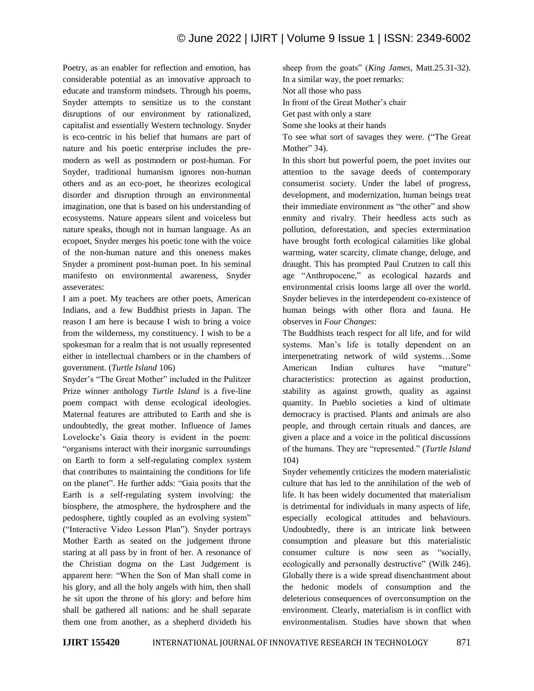Poetry, as an enabler for reflection and emotion, has considerable potential as an innovative approach to educate and transform mindsets. Through his poems, Snyder attempts to sensitize us to the constant disruptions of our environment by rationalized, capitalist and essentially Western technology. Snyder is eco-centric in his belief that humans are part of nature and his poetic enterprise includes the premodern as well as postmodern or post-human. For Snyder, traditional humanism ignores non-human others and as an eco-poet, he theorizes ecological disorder and disruption through an environmental imagination, one that is based on his understanding of ecosystems. Nature appears silent and voiceless but nature speaks, though not in human language. As an ecopoet, Snyder merges his poetic tone with the voice of the non-human nature and this oneness makes Snyder a prominent post-human poet. In his seminal manifesto on environmental awareness, Snyder asseverates:

I am a poet. My teachers are other poets, American Indians, and a few Buddhist priests in Japan. The reason I am here is because I wish to bring a voice from the wilderness, my constituency. I wish to be a spokesman for a realm that is not usually represented either in intellectual chambers or in the chambers of government. (*Turtle Island* 106)

Snyder"s "The Great Mother" included in the Pulitzer Prize winner anthology *Turtle Island* is a five-line poem compact with dense ecological ideologies. Maternal features are attributed to Earth and she is undoubtedly, the great mother. Influence of James Lovelocke"s Gaia theory is evident in the poem: "organisms interact with their inorganic surroundings on Earth to form a self-regulating complex system that contributes to maintaining the conditions for life on the planet". He further adds: "Gaia posits that the Earth is a self-regulating system involving: the biosphere, the atmosphere, the hydrosphere and the pedosphere, tightly coupled as an evolving system" ("Interactive Video Lesson Plan"). Snyder portrays Mother Earth as seated on the judgement throne staring at all pass by in front of her. A resonance of the Christian dogma on the Last Judgement is apparent here: "When the Son of Man shall come in his glory, and all the holy angels with him, then shall he sit upon the throne of his glory: and before him shall be gathered all nations: and he shall separate them one from another, as a shepherd divideth his sheep from the goats" (*King James*, Matt.25.31-32). In a similar way, the poet remarks: Not all those who pass In front of the Great Mother"s chair Get past with only a stare Some she looks at their hands

To see what sort of savages they were. ("The Great Mother" 34).

In this short but powerful poem, the poet invites our attention to the savage deeds of contemporary consumerist society. Under the label of progress, development, and modernization, human beings treat their immediate environment as "the other" and show enmity and rivalry. Their heedless acts such as pollution, deforestation, and species extermination have brought forth ecological calamities like global warming, water scarcity, climate change, deluge, and draught. This has prompted Paul Crutzen to call this age "Anthropocene," as ecological hazards and environmental crisis looms large all over the world. Snyder believes in the interdependent co-existence of human beings with other flora and fauna. He observes in *Four Changes*:

The Buddhists teach respect for all life, and for wild systems. Man"s life is totally dependent on an interpenetrating network of wild systems…Some American Indian cultures have "mature" characteristics: protection as against production, stability as against growth, quality as against quantity. In Pueblo societies a kind of ultimate democracy is practised. Plants and animals are also people, and through certain rituals and dances, are given a place and a voice in the political discussions of the humans. They are "represented." (*Turtle Island* 104)

Snyder vehemently criticizes the modern materialistic culture that has led to the annihilation of the web of life. It has been widely documented that materialism is detrimental for individuals in many aspects of life, especially ecological attitudes and behaviours. Undoubtedly, there is an intricate link between consumption and pleasure but this materialistic consumer culture is now seen as "socially, ecologically and personally destructive" (Wilk 246). Globally there is a wide spread disenchantment about the hedonic models of consumption and the deleterious consequences of overconsumption on the environment. Clearly, materialism is in conflict with environmentalism. Studies have shown that when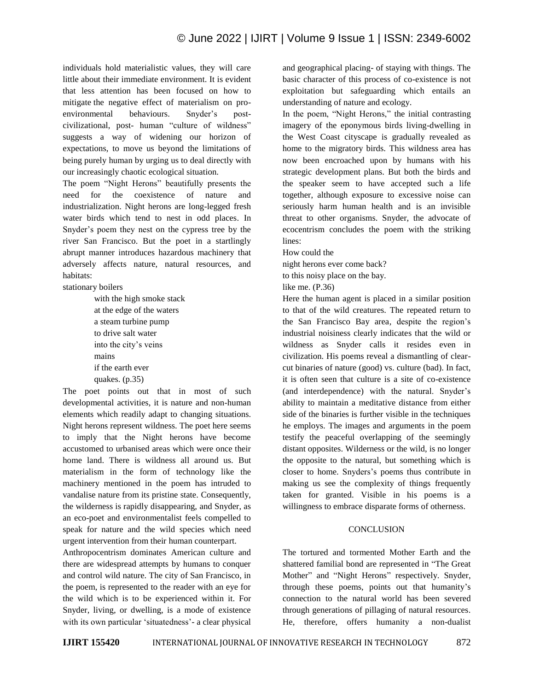individuals hold materialistic values, they will care little about their immediate environment. It is evident that less attention has been focused on how to mitigate the negative effect of materialism on proenvironmental behaviours. Snyder's postcivilizational, post- human "culture of wildness" suggests a way of widening our horizon of expectations, to move us beyond the limitations of being purely human by urging us to deal directly with our increasingly chaotic ecological situation.

The poem "Night Herons" beautifully presents the need for the coexistence of nature and industrialization. Night herons are long-legged fresh water birds which tend to nest in odd places. In Snyder"s poem they nest on the cypress tree by the river San Francisco. But the poet in a startlingly abrupt manner introduces hazardous machinery that adversely affects nature, natural resources, and habitats:

stationary boilers

with the high smoke stack at the edge of the waters a steam turbine pump to drive salt water into the city"s veins mains if the earth ever quakes. (p.35)

The poet points out that in most of such developmental activities, it is nature and non-human elements which readily adapt to changing situations. Night herons represent wildness. The poet here seems to imply that the Night herons have become accustomed to urbanised areas which were once their home land. There is wildness all around us. But materialism in the form of technology like the machinery mentioned in the poem has intruded to vandalise nature from its pristine state. Consequently, the wilderness is rapidly disappearing, and Snyder, as an eco-poet and environmentalist feels compelled to speak for nature and the wild species which need urgent intervention from their human counterpart.

Anthropocentrism dominates American culture and there are widespread attempts by humans to conquer and control wild nature. The city of San Francisco, in the poem, is represented to the reader with an eye for the wild which is to be experienced within it. For Snyder, living, or dwelling, is a mode of existence with its own particular 'situatedness'- a clear physical

and geographical placing- of staying with things. The basic character of this process of co-existence is not exploitation but safeguarding which entails an understanding of nature and ecology.

In the poem, "Night Herons," the initial contrasting imagery of the eponymous birds living-dwelling in the West Coast cityscape is gradually revealed as home to the migratory birds. This wildness area has now been encroached upon by humans with his strategic development plans. But both the birds and the speaker seem to have accepted such a life together, although exposure to excessive noise can seriously harm human health and is an invisible threat to other organisms. Snyder, the advocate of ecocentrism concludes the poem with the striking lines:

How could the

night herons ever come back?

to this noisy place on the bay.

like me. (P.36)

Here the human agent is placed in a similar position to that of the wild creatures. The repeated return to the San Francisco Bay area, despite the region's industrial noisiness clearly indicates that the wild or wildness as Snyder calls it resides even in civilization. His poems reveal a dismantling of clearcut binaries of nature (good) vs. culture (bad). In fact, it is often seen that culture is a site of co-existence (and interdependence) with the natural. Snyder's ability to maintain a meditative distance from either side of the binaries is further visible in the techniques he employs. The images and arguments in the poem testify the peaceful overlapping of the seemingly distant opposites. Wilderness or the wild, is no longer the opposite to the natural, but something which is closer to home. Snyders"s poems thus contribute in making us see the complexity of things frequently taken for granted. Visible in his poems is a willingness to embrace disparate forms of otherness.

## **CONCLUSION**

The tortured and tormented Mother Earth and the shattered familial bond are represented in "The Great Mother" and "Night Herons" respectively. Snyder, through these poems, points out that humanity"s connection to the natural world has been severed through generations of pillaging of natural resources. He, therefore, offers humanity a non-dualist